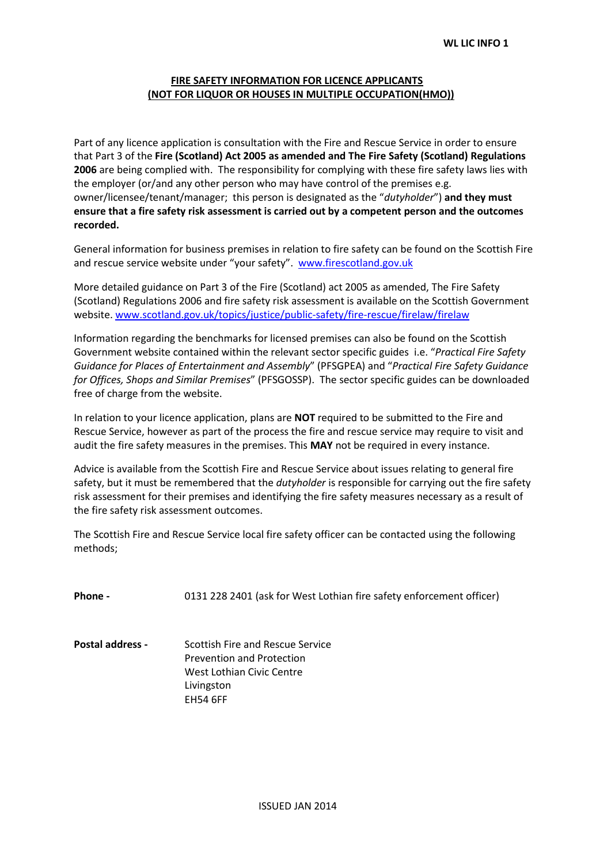## **FIRE SAFETY INFORMATION FOR LICENCE APPLICANTS (NOT FOR LIQUOR OR HOUSES IN MULTIPLE OCCUPATION(HMO))**

Part of any licence application is consultation with the Fire and Rescue Service in order to ensure that Part 3 of the **Fire (Scotland) Act 2005 as amended and The Fire Safety (Scotland) Regulations 2006** are being complied with. The responsibility for complying with these fire safety laws lies with the employer (or/and any other person who may have control of the premises e.g. owner/licensee/tenant/manager; this person is designated as the "*dutyholder*") **and they must ensure that a fire safety risk assessment is carried out by a competent person and the outcomes recorded.**

General information for business premises in relation to fire safety can be found on the Scottish Fire and rescue service website under "your safety". [www.firescotland.gov.uk](http://www.firescotland.gov.uk/)

More detailed guidance on Part 3 of the Fire (Scotland) act 2005 as amended, The Fire Safety (Scotland) Regulations 2006 and fire safety risk assessment is available on the Scottish Government website. [www.scotland.gov.uk/topics/justice/public-safety/fire-rescue/firelaw/firelaw](http://www.scotland.gov.uk/topics/justice/public-safety/fire-rescue/firelaw/firelaw)

Information regarding the benchmarks for licensed premises can also be found on the Scottish Government website contained within the relevant sector specific guides i.e. "*Practical Fire Safety Guidance for Places of Entertainment and Assembly*" (PFSGPEA) and "*Practical Fire Safety Guidance for Offices, Shops and Similar Premises*" (PFSGOSSP). The sector specific guides can be downloaded free of charge from the website.

In relation to your licence application, plans are **NOT** required to be submitted to the Fire and Rescue Service, however as part of the process the fire and rescue service may require to visit and audit the fire safety measures in the premises. This **MAY** not be required in every instance.

Advice is available from the Scottish Fire and Rescue Service about issues relating to general fire safety, but it must be remembered that the *dutyholder* is responsible for carrying out the fire safety risk assessment for their premises and identifying the fire safety measures necessary as a result of the fire safety risk assessment outcomes.

The Scottish Fire and Rescue Service local fire safety officer can be contacted using the following methods;

| <b>Phone -</b> |  | 0131 228 2401 (ask for West Lothian fire safety enforcement officer) |  |  |  |
|----------------|--|----------------------------------------------------------------------|--|--|--|
|----------------|--|----------------------------------------------------------------------|--|--|--|

**Postal address -** Scottish Fire and Rescue Service Prevention and Protection West Lothian Civic Centre Livingston EH54 6FF